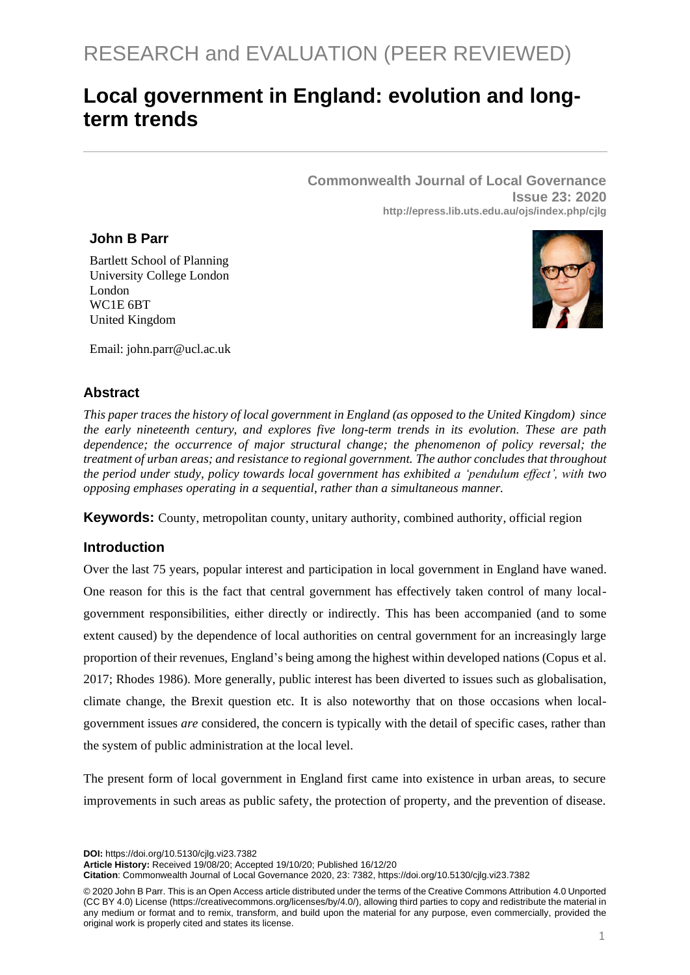# **Local government in England: evolution and longterm trends**

**Commonwealth Journal of Local Governance Issue 23: 2020 http://epress.lib.uts.edu.au/ojs/index.php/cjlg**

# **John B Parr**

Bartlett School of Planning University College London London WC1E 6BT United Kingdom



Email: john.parr@ucl.ac.uk

# **Abstract**

*This paper traces the history of local government in England (as opposed to the United Kingdom) since the early nineteenth century, and explores five long-term trends in its evolution. These are path dependence; the occurrence of major structural change; the phenomenon of policy reversal; the treatment of urban areas; and resistance to regional government. The author concludes that throughout the period under study, policy towards local government has exhibited a 'pendulum effect', with two opposing emphases operating in a sequential, rather than a simultaneous manner.* 

**Keywords:** County, metropolitan county, unitary authority, combined authority, official region

# **Introduction**

Over the last 75 years, popular interest and participation in local government in England have waned. One reason for this is the fact that central government has effectively taken control of many localgovernment responsibilities, either directly or indirectly. This has been accompanied (and to some extent caused) by the dependence of local authorities on central government for an increasingly large proportion of their revenues, England's being among the highest within developed nations (Copus et al. 2017; Rhodes 1986). More generally, public interest has been diverted to issues such as globalisation, climate change, the Brexit question etc. It is also noteworthy that on those occasions when localgovernment issues *are* considered, the concern is typically with the detail of specific cases, rather than the system of public administration at the local level.

The present form of local government in England first came into existence in urban areas, to secure improvements in such areas as public safety, the protection of property, and the prevention of disease.

**DOI:** https://doi.org/10.5130/cjlg.vi23.7382

**Article History:** Received 19/08/20; Accepted 19/10/20; Published 16/12/20

**Citation**: Commonwealth Journal of Local Governance 2020, 23: 7382, https://doi.org/10.5130/cjlg.vi23.7382

<sup>© 2020</sup> John B Parr. This is an Open Access article distributed under the terms of the Creative Commons Attribution 4.0 Unported (CC BY 4.0) License [\(https://creativecommons.org/licenses/by/4.0/\)](https://creativecommons.org/licenses/by/4.0/), allowing third parties to copy and redistribute the material in any medium or format and to remix, transform, and build upon the material for any purpose, even commercially, provided the original work is properly cited and states its license.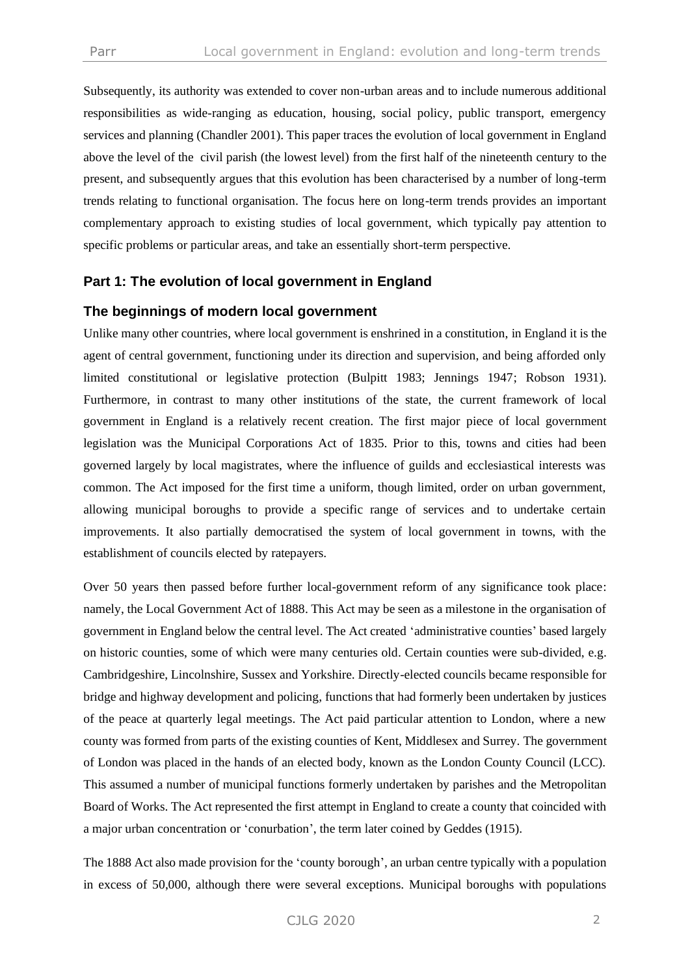Subsequently, its authority was extended to cover non-urban areas and to include numerous additional responsibilities as wide-ranging as education, housing, social policy, public transport, emergency services and planning (Chandler 2001). This paper traces the evolution of local government in England above the level of the civil parish (the lowest level) from the first half of the nineteenth century to the present, and subsequently argues that this evolution has been characterised by a number of long-term trends relating to functional organisation. The focus here on long-term trends provides an important complementary approach to existing studies of local government, which typically pay attention to specific problems or particular areas, and take an essentially short-term perspective.

# **Part 1: The evolution of local government in England**

#### **The beginnings of modern local government**

Unlike many other countries, where local government is enshrined in a constitution, in England it is the agent of central government, functioning under its direction and supervision, and being afforded only limited constitutional or legislative protection (Bulpitt 1983; Jennings 1947; Robson 1931). Furthermore, in contrast to many other institutions of the state, the current framework of local government in England is a relatively recent creation. The first major piece of local government legislation was the Municipal Corporations Act of 1835. Prior to this, towns and cities had been governed largely by local magistrates, where the influence of guilds and ecclesiastical interests was common. The Act imposed for the first time a uniform, though limited, order on urban government, allowing municipal boroughs to provide a specific range of services and to undertake certain improvements. It also partially democratised the system of local government in towns, with the establishment of councils elected by ratepayers.

Over 50 years then passed before further local-government reform of any significance took place: namely, the Local Government Act of 1888. This Act may be seen as a milestone in the organisation of government in England below the central level. The Act created 'administrative counties' based largely on historic counties, some of which were many centuries old. Certain counties were sub-divided, e.g. Cambridgeshire, Lincolnshire, Sussex and Yorkshire. Directly-elected councils became responsible for bridge and highway development and policing, functions that had formerly been undertaken by justices of the peace at quarterly legal meetings. The Act paid particular attention to London, where a new county was formed from parts of the existing counties of Kent, Middlesex and Surrey. The government of London was placed in the hands of an elected body, known as the London County Council (LCC). This assumed a number of municipal functions formerly undertaken by parishes and the Metropolitan Board of Works. The Act represented the first attempt in England to create a county that coincided with a major urban concentration or 'conurbation', the term later coined by Geddes (1915).

The 1888 Act also made provision for the 'county borough', an urban centre typically with a population in excess of 50,000, although there were several exceptions. Municipal boroughs with populations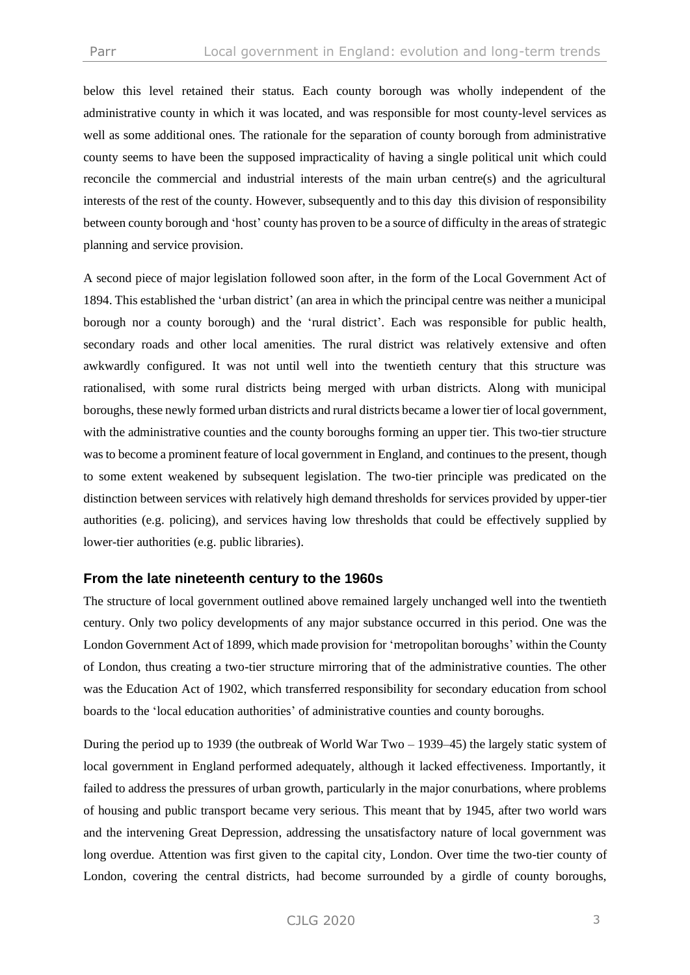below this level retained their status. Each county borough was wholly independent of the administrative county in which it was located, and was responsible for most county-level services as well as some additional ones. The rationale for the separation of county borough from administrative county seems to have been the supposed impracticality of having a single political unit which could reconcile the commercial and industrial interests of the main urban centre(s) and the agricultural interests of the rest of the county. However, subsequently and to this day this division of responsibility between county borough and 'host' county has proven to be a source of difficulty in the areas of strategic planning and service provision.

A second piece of major legislation followed soon after, in the form of the Local Government Act of 1894. This established the 'urban district' (an area in which the principal centre was neither a municipal borough nor a county borough) and the 'rural district'. Each was responsible for public health, secondary roads and other local amenities. The rural district was relatively extensive and often awkwardly configured. It was not until well into the twentieth century that this structure was rationalised, with some rural districts being merged with urban districts. Along with municipal boroughs, these newly formed urban districts and rural districts became a lower tier of local government, with the administrative counties and the county boroughs forming an upper tier. This two-tier structure was to become a prominent feature of local government in England, and continues to the present, though to some extent weakened by subsequent legislation. The two-tier principle was predicated on the distinction between services with relatively high demand thresholds for services provided by upper-tier authorities (e.g. policing), and services having low thresholds that could be effectively supplied by lower-tier authorities (e.g. public libraries).

#### **From the late nineteenth century to the 1960s**

The structure of local government outlined above remained largely unchanged well into the twentieth century. Only two policy developments of any major substance occurred in this period. One was the London Government Act of 1899, which made provision for 'metropolitan boroughs' within the County of London, thus creating a two-tier structure mirroring that of the administrative counties. The other was the Education Act of 1902, which transferred responsibility for secondary education from school boards to the 'local education authorities' of administrative counties and county boroughs.

During the period up to 1939 (the outbreak of World War Two – 1939–45) the largely static system of local government in England performed adequately, although it lacked effectiveness. Importantly, it failed to address the pressures of urban growth, particularly in the major conurbations, where problems of housing and public transport became very serious. This meant that by 1945, after two world wars and the intervening Great Depression, addressing the unsatisfactory nature of local government was long overdue. Attention was first given to the capital city, London. Over time the two-tier county of London, covering the central districts, had become surrounded by a girdle of county boroughs,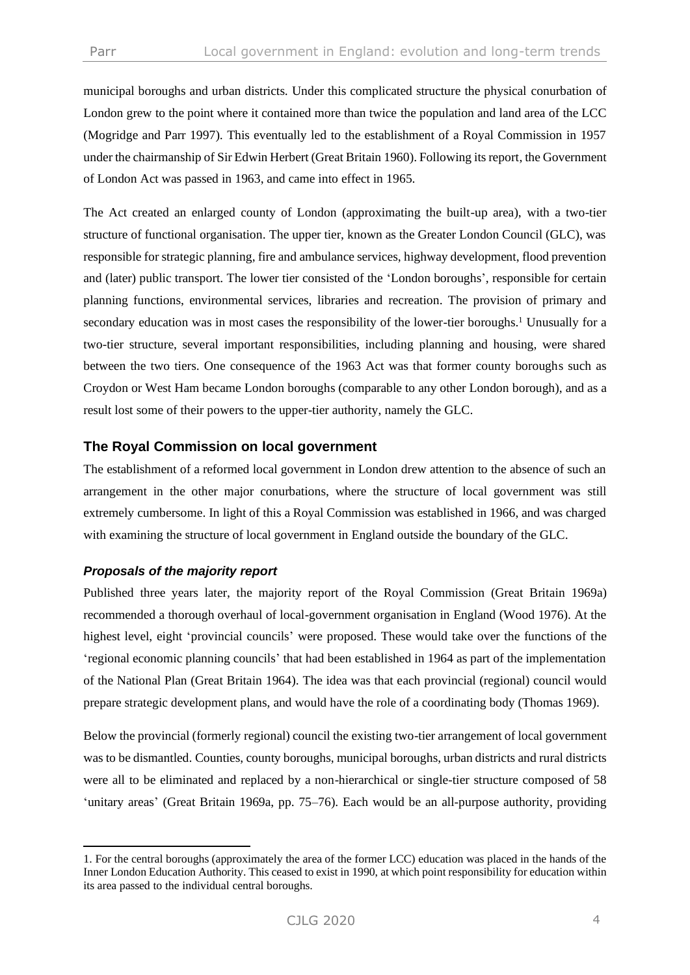municipal boroughs and urban districts. Under this complicated structure the physical conurbation of London grew to the point where it contained more than twice the population and land area of the LCC (Mogridge and Parr 1997). This eventually led to the establishment of a Royal Commission in 1957 under the chairmanship of Sir Edwin Herbert (Great Britain 1960). Following its report, the Government of London Act was passed in 1963, and came into effect in 1965.

The Act created an enlarged county of London (approximating the built-up area), with a two-tier structure of functional organisation. The upper tier, known as the Greater London Council (GLC), was responsible for strategic planning, fire and ambulance services, highway development, flood prevention and (later) public transport. The lower tier consisted of the 'London boroughs', responsible for certain planning functions, environmental services, libraries and recreation. The provision of primary and secondary education was in most cases the responsibility of the lower-tier boroughs.<sup>1</sup> Unusually for a two-tier structure, several important responsibilities, including planning and housing, were shared between the two tiers. One consequence of the 1963 Act was that former county boroughs such as Croydon or West Ham became London boroughs (comparable to any other London borough), and as a result lost some of their powers to the upper-tier authority, namely the GLC.

# **The Royal Commission on local government**

The establishment of a reformed local government in London drew attention to the absence of such an arrangement in the other major conurbations, where the structure of local government was still extremely cumbersome. In light of this a Royal Commission was established in 1966, and was charged with examining the structure of local government in England outside the boundary of the GLC.

# *Proposals of the majority report*

Published three years later, the majority report of the Royal Commission (Great Britain 1969a) recommended a thorough overhaul of local-government organisation in England (Wood 1976). At the highest level, eight 'provincial councils' were proposed. These would take over the functions of the 'regional economic planning councils' that had been established in 1964 as part of the implementation of the National Plan (Great Britain 1964). The idea was that each provincial (regional) council would prepare strategic development plans, and would have the role of a coordinating body (Thomas 1969).

Below the provincial (formerly regional) council the existing two-tier arrangement of local government was to be dismantled. Counties, county boroughs, municipal boroughs, urban districts and rural districts were all to be eliminated and replaced by a non-hierarchical or single-tier structure composed of 58 'unitary areas' (Great Britain 1969a, pp. 75–76). Each would be an all-purpose authority, providing

<sup>1.</sup> For the central boroughs (approximately the area of the former LCC) education was placed in the hands of the Inner London Education Authority. This ceased to exist in 1990, at which point responsibility for education within its area passed to the individual central boroughs.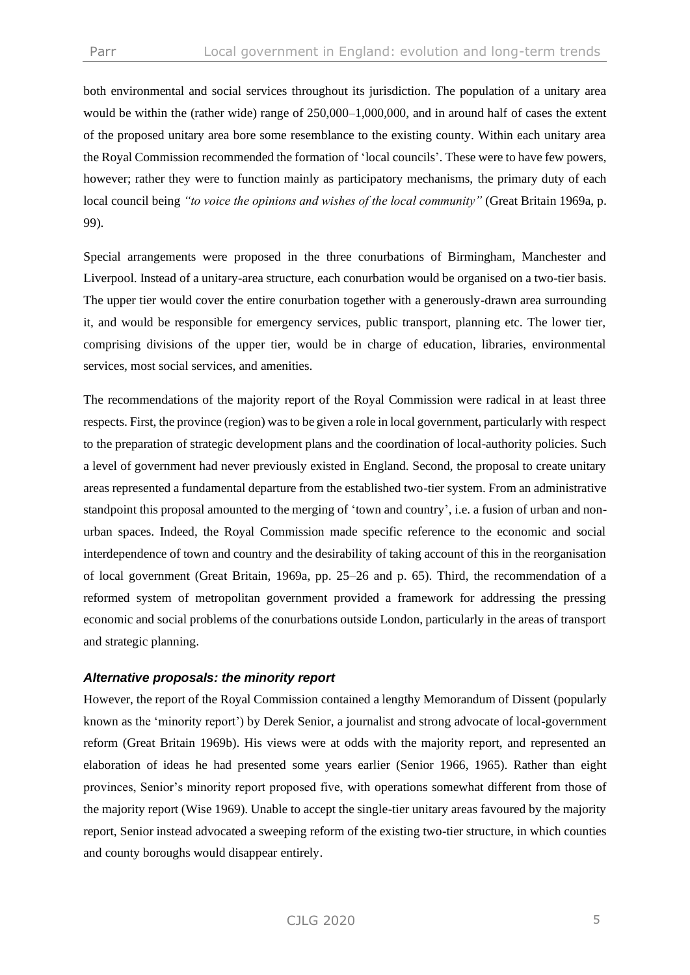both environmental and social services throughout its jurisdiction. The population of a unitary area would be within the (rather wide) range of 250,000–1,000,000, and in around half of cases the extent of the proposed unitary area bore some resemblance to the existing county. Within each unitary area the Royal Commission recommended the formation of 'local councils'. These were to have few powers, however; rather they were to function mainly as participatory mechanisms, the primary duty of each local council being *"to voice the opinions and wishes of the local community"* (Great Britain 1969a, p. 99).

Special arrangements were proposed in the three conurbations of Birmingham, Manchester and Liverpool. Instead of a unitary-area structure, each conurbation would be organised on a two-tier basis. The upper tier would cover the entire conurbation together with a generously-drawn area surrounding it, and would be responsible for emergency services, public transport, planning etc. The lower tier, comprising divisions of the upper tier, would be in charge of education, libraries, environmental services, most social services, and amenities.

The recommendations of the majority report of the Royal Commission were radical in at least three respects. First, the province (region) was to be given a role in local government, particularly with respect to the preparation of strategic development plans and the coordination of local-authority policies. Such a level of government had never previously existed in England. Second, the proposal to create unitary areas represented a fundamental departure from the established two-tier system. From an administrative standpoint this proposal amounted to the merging of 'town and country', i.e. a fusion of urban and nonurban spaces. Indeed, the Royal Commission made specific reference to the economic and social interdependence of town and country and the desirability of taking account of this in the reorganisation of local government (Great Britain, 1969a, pp. 25–26 and p. 65). Third, the recommendation of a reformed system of metropolitan government provided a framework for addressing the pressing economic and social problems of the conurbations outside London, particularly in the areas of transport and strategic planning.

#### *Alternative proposals: the minority report*

However, the report of the Royal Commission contained a lengthy Memorandum of Dissent (popularly known as the 'minority report') by Derek Senior, a journalist and strong advocate of local-government reform (Great Britain 1969b). His views were at odds with the majority report, and represented an elaboration of ideas he had presented some years earlier (Senior 1966, 1965). Rather than eight provinces, Senior's minority report proposed five, with operations somewhat different from those of the majority report (Wise 1969). Unable to accept the single-tier unitary areas favoured by the majority report, Senior instead advocated a sweeping reform of the existing two-tier structure, in which counties and county boroughs would disappear entirely.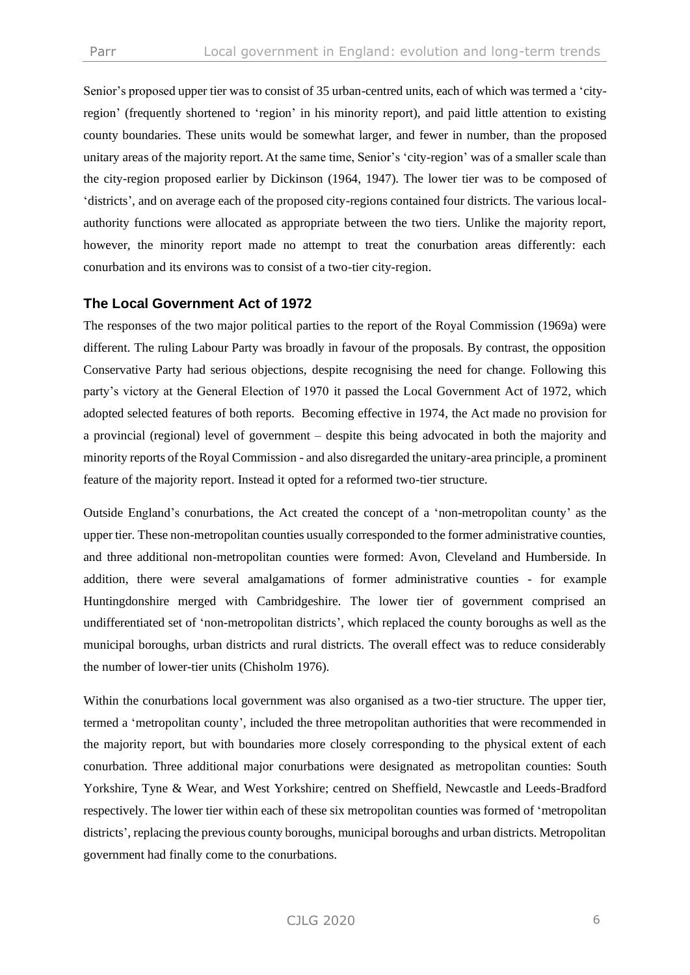Senior's proposed upper tier was to consist of 35 urban-centred units, each of which was termed a 'cityregion' (frequently shortened to 'region' in his minority report), and paid little attention to existing county boundaries. These units would be somewhat larger, and fewer in number, than the proposed unitary areas of the majority report. At the same time, Senior's 'city-region' was of a smaller scale than the city-region proposed earlier by Dickinson (1964, 1947). The lower tier was to be composed of 'districts', and on average each of the proposed city-regions contained four districts. The various localauthority functions were allocated as appropriate between the two tiers. Unlike the majority report, however, the minority report made no attempt to treat the conurbation areas differently: each conurbation and its environs was to consist of a two-tier city-region.

# **The Local Government Act of 1972**

The responses of the two major political parties to the report of the Royal Commission (1969a) were different. The ruling Labour Party was broadly in favour of the proposals. By contrast, the opposition Conservative Party had serious objections, despite recognising the need for change. Following this party's victory at the General Election of 1970 it passed the Local Government Act of 1972, which adopted selected features of both reports. Becoming effective in 1974, the Act made no provision for a provincial (regional) level of government – despite this being advocated in both the majority and minority reports of the Royal Commission - and also disregarded the unitary-area principle, a prominent feature of the majority report. Instead it opted for a reformed two-tier structure.

Outside England's conurbations, the Act created the concept of a 'non-metropolitan county' as the upper tier. These non-metropolitan counties usually corresponded to the former administrative counties, and three additional non-metropolitan counties were formed: Avon, Cleveland and Humberside. In addition, there were several amalgamations of former administrative counties - for example Huntingdonshire merged with Cambridgeshire. The lower tier of government comprised an undifferentiated set of 'non-metropolitan districts', which replaced the county boroughs as well as the municipal boroughs, urban districts and rural districts. The overall effect was to reduce considerably the number of lower-tier units (Chisholm 1976).

Within the conurbations local government was also organised as a two-tier structure. The upper tier, termed a 'metropolitan county', included the three metropolitan authorities that were recommended in the majority report, but with boundaries more closely corresponding to the physical extent of each conurbation. Three additional major conurbations were designated as metropolitan counties: South Yorkshire, Tyne & Wear, and West Yorkshire; centred on Sheffield, Newcastle and Leeds-Bradford respectively. The lower tier within each of these six metropolitan counties was formed of 'metropolitan districts', replacing the previous county boroughs, municipal boroughs and urban districts. Metropolitan government had finally come to the conurbations.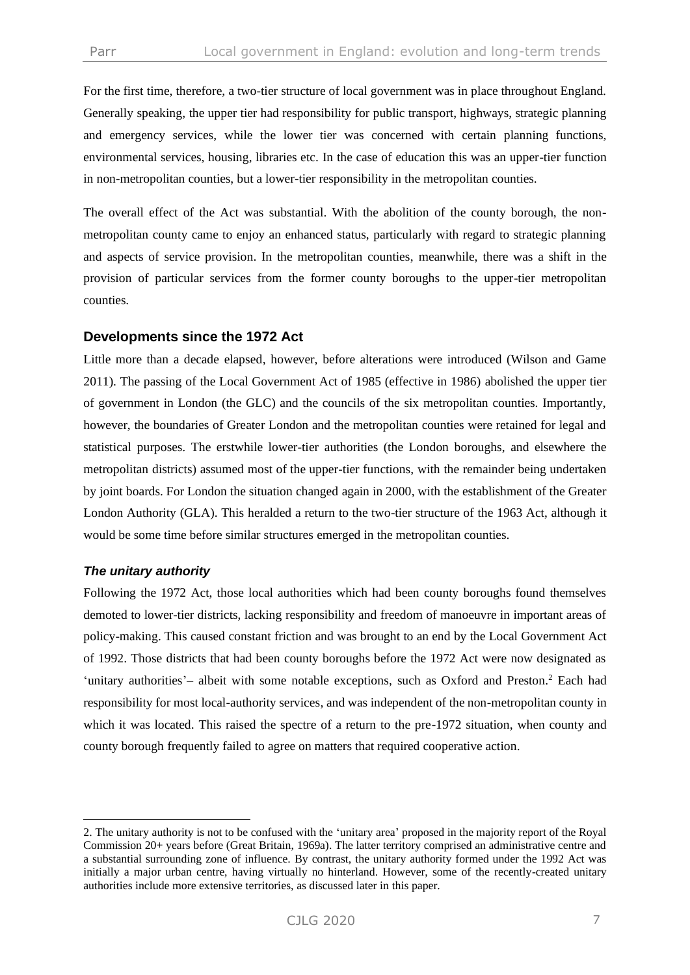For the first time, therefore, a two-tier structure of local government was in place throughout England. Generally speaking, the upper tier had responsibility for public transport, highways, strategic planning and emergency services, while the lower tier was concerned with certain planning functions, environmental services, housing, libraries etc. In the case of education this was an upper-tier function in non-metropolitan counties, but a lower-tier responsibility in the metropolitan counties.

The overall effect of the Act was substantial. With the abolition of the county borough, the nonmetropolitan county came to enjoy an enhanced status, particularly with regard to strategic planning and aspects of service provision. In the metropolitan counties, meanwhile, there was a shift in the provision of particular services from the former county boroughs to the upper-tier metropolitan counties.

#### **Developments since the 1972 Act**

Little more than a decade elapsed, however, before alterations were introduced (Wilson and Game 2011). The passing of the Local Government Act of 1985 (effective in 1986) abolished the upper tier of government in London (the GLC) and the councils of the six metropolitan counties. Importantly, however, the boundaries of Greater London and the metropolitan counties were retained for legal and statistical purposes. The erstwhile lower-tier authorities (the London boroughs, and elsewhere the metropolitan districts) assumed most of the upper-tier functions, with the remainder being undertaken by joint boards. For London the situation changed again in 2000, with the establishment of the Greater London Authority (GLA). This heralded a return to the two-tier structure of the 1963 Act, although it would be some time before similar structures emerged in the metropolitan counties.

#### *The unitary authority*

Following the 1972 Act, those local authorities which had been county boroughs found themselves demoted to lower-tier districts, lacking responsibility and freedom of manoeuvre in important areas of policy-making. This caused constant friction and was brought to an end by the Local Government Act of 1992. Those districts that had been county boroughs before the 1972 Act were now designated as 'unitary authorities'– albeit with some notable exceptions, such as Oxford and Preston.<sup>2</sup> Each had responsibility for most local-authority services, and was independent of the non-metropolitan county in which it was located. This raised the spectre of a return to the pre-1972 situation, when county and county borough frequently failed to agree on matters that required cooperative action.

<sup>2.</sup> The unitary authority is not to be confused with the 'unitary area' proposed in the majority report of the Royal Commission 20+ years before (Great Britain, 1969a). The latter territory comprised an administrative centre and a substantial surrounding zone of influence. By contrast, the unitary authority formed under the 1992 Act was initially a major urban centre, having virtually no hinterland. However, some of the recently-created unitary authorities include more extensive territories, as discussed later in this paper.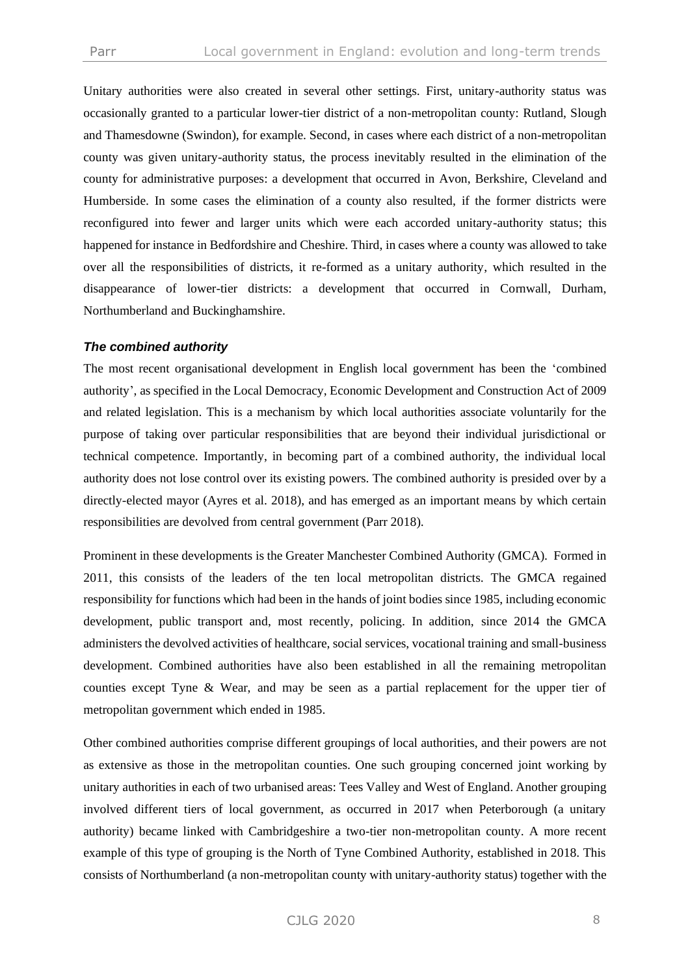Unitary authorities were also created in several other settings. First, unitary-authority status was occasionally granted to a particular lower-tier district of a non-metropolitan county: Rutland, Slough and Thamesdowne (Swindon), for example. Second, in cases where each district of a non-metropolitan county was given unitary-authority status, the process inevitably resulted in the elimination of the county for administrative purposes: a development that occurred in Avon, Berkshire, Cleveland and Humberside. In some cases the elimination of a county also resulted, if the former districts were reconfigured into fewer and larger units which were each accorded unitary-authority status; this happened for instance in Bedfordshire and Cheshire. Third, in cases where a county was allowed to take over all the responsibilities of districts, it re-formed as a unitary authority, which resulted in the disappearance of lower-tier districts: a development that occurred in Cornwall, Durham, Northumberland and Buckinghamshire.

#### *The combined authority*

The most recent organisational development in English local government has been the 'combined authority', as specified in the Local Democracy, Economic Development and Construction Act of 2009 and related legislation. This is a mechanism by which local authorities associate voluntarily for the purpose of taking over particular responsibilities that are beyond their individual jurisdictional or technical competence. Importantly, in becoming part of a combined authority, the individual local authority does not lose control over its existing powers. The combined authority is presided over by a directly-elected mayor (Ayres et al. 2018), and has emerged as an important means by which certain responsibilities are devolved from central government (Parr 2018).

Prominent in these developments is the Greater Manchester Combined Authority (GMCA). Formed in 2011, this consists of the leaders of the ten local metropolitan districts. The GMCA regained responsibility for functions which had been in the hands of joint bodies since 1985, including economic development, public transport and, most recently, policing. In addition, since 2014 the GMCA administers the devolved activities of healthcare, social services, vocational training and small-business development. Combined authorities have also been established in all the remaining metropolitan counties except Tyne & Wear, and may be seen as a partial replacement for the upper tier of metropolitan government which ended in 1985.

Other combined authorities comprise different groupings of local authorities, and their powers are not as extensive as those in the metropolitan counties. One such grouping concerned joint working by unitary authorities in each of two urbanised areas: Tees Valley and West of England. Another grouping involved different tiers of local government, as occurred in 2017 when Peterborough (a unitary authority) became linked with Cambridgeshire a two-tier non-metropolitan county. A more recent example of this type of grouping is the North of Tyne Combined Authority, established in 2018. This consists of Northumberland (a non-metropolitan county with unitary-authority status) together with the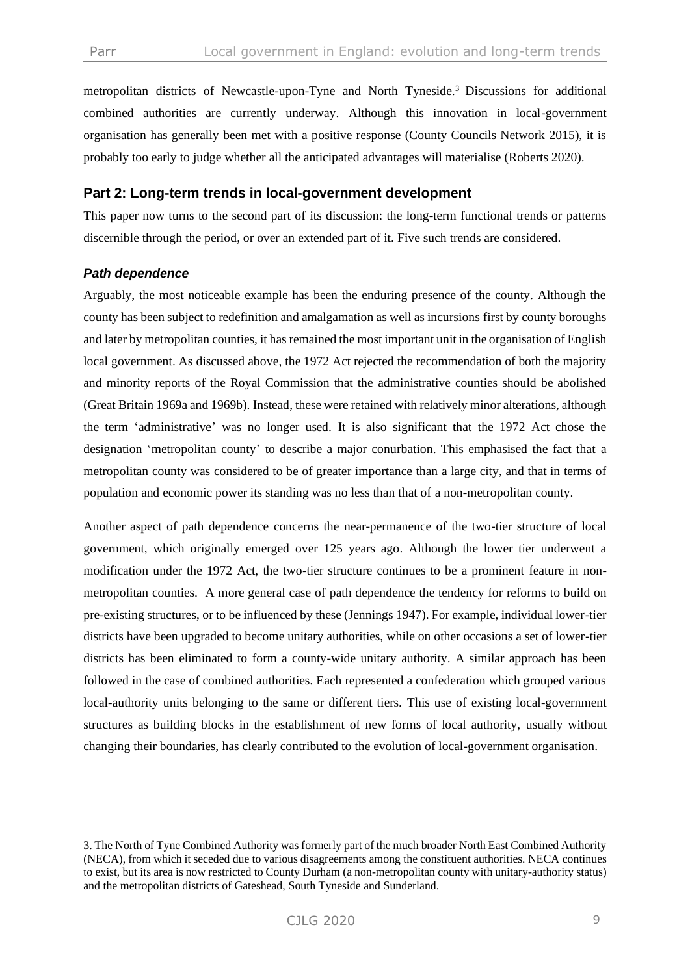metropolitan districts of Newcastle-upon-Tyne and North Tyneside.<sup>3</sup> Discussions for additional combined authorities are currently underway. Although this innovation in local-government organisation has generally been met with a positive response (County Councils Network 2015), it is probably too early to judge whether all the anticipated advantages will materialise (Roberts 2020).

## **Part 2: Long-term trends in local-government development**

This paper now turns to the second part of its discussion: the long-term functional trends or patterns discernible through the period, or over an extended part of it. Five such trends are considered.

#### *Path dependence*

Arguably, the most noticeable example has been the enduring presence of the county. Although the county has been subject to redefinition and amalgamation as well as incursions first by county boroughs and later by metropolitan counties, it has remained the most important unit in the organisation of English local government. As discussed above, the 1972 Act rejected the recommendation of both the majority and minority reports of the Royal Commission that the administrative counties should be abolished (Great Britain 1969a and 1969b). Instead, these were retained with relatively minor alterations, although the term 'administrative' was no longer used. It is also significant that the 1972 Act chose the designation 'metropolitan county' to describe a major conurbation. This emphasised the fact that a metropolitan county was considered to be of greater importance than a large city, and that in terms of population and economic power its standing was no less than that of a non-metropolitan county.

Another aspect of path dependence concerns the near-permanence of the two-tier structure of local government, which originally emerged over 125 years ago. Although the lower tier underwent a modification under the 1972 Act, the two-tier structure continues to be a prominent feature in nonmetropolitan counties. A more general case of path dependence the tendency for reforms to build on pre-existing structures, or to be influenced by these (Jennings 1947). For example, individual lower-tier districts have been upgraded to become unitary authorities, while on other occasions a set of lower-tier districts has been eliminated to form a county-wide unitary authority. A similar approach has been followed in the case of combined authorities. Each represented a confederation which grouped various local-authority units belonging to the same or different tiers. This use of existing local-government structures as building blocks in the establishment of new forms of local authority, usually without changing their boundaries, has clearly contributed to the evolution of local-government organisation.

<sup>3.</sup> The North of Tyne Combined Authority was formerly part of the much broader North East Combined Authority (NECA), from which it seceded due to various disagreements among the constituent authorities. NECA continues to exist, but its area is now restricted to County Durham (a non-metropolitan county with unitary-authority status) and the metropolitan districts of Gateshead, South Tyneside and Sunderland.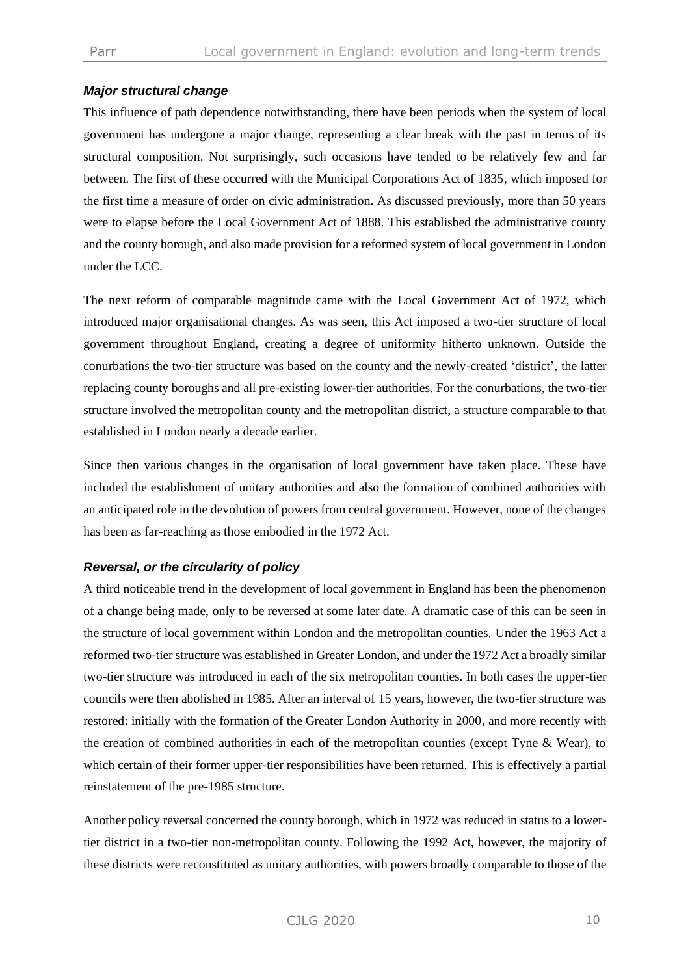## *Major structural change*

This influence of path dependence notwithstanding, there have been periods when the system of local government has undergone a major change, representing a clear break with the past in terms of its structural composition. Not surprisingly, such occasions have tended to be relatively few and far between. The first of these occurred with the Municipal Corporations Act of 1835, which imposed for the first time a measure of order on civic administration. As discussed previously, more than 50 years were to elapse before the Local Government Act of 1888. This established the administrative county and the county borough, and also made provision for a reformed system of local government in London under the LCC.

The next reform of comparable magnitude came with the Local Government Act of 1972, which introduced major organisational changes. As was seen, this Act imposed a two-tier structure of local government throughout England, creating a degree of uniformity hitherto unknown. Outside the conurbations the two-tier structure was based on the county and the newly-created 'district', the latter replacing county boroughs and all pre-existing lower-tier authorities. For the conurbations, the two-tier structure involved the metropolitan county and the metropolitan district, a structure comparable to that established in London nearly a decade earlier.

Since then various changes in the organisation of local government have taken place. These have included the establishment of unitary authorities and also the formation of combined authorities with an anticipated role in the devolution of powers from central government. However, none of the changes has been as far-reaching as those embodied in the 1972 Act.

#### *Reversal, or the circularity of policy*

A third noticeable trend in the development of local government in England has been the phenomenon of a change being made, only to be reversed at some later date. A dramatic case of this can be seen in the structure of local government within London and the metropolitan counties. Under the 1963 Act a reformed two-tier structure was established in Greater London, and under the 1972 Act a broadly similar two-tier structure was introduced in each of the six metropolitan counties. In both cases the upper-tier councils were then abolished in 1985. After an interval of 15 years, however, the two-tier structure was restored: initially with the formation of the Greater London Authority in 2000, and more recently with the creation of combined authorities in each of the metropolitan counties (except Tyne & Wear), to which certain of their former upper-tier responsibilities have been returned. This is effectively a partial reinstatement of the pre-1985 structure.

Another policy reversal concerned the county borough, which in 1972 was reduced in status to a lowertier district in a two-tier non-metropolitan county. Following the 1992 Act, however, the majority of these districts were reconstituted as unitary authorities, with powers broadly comparable to those of the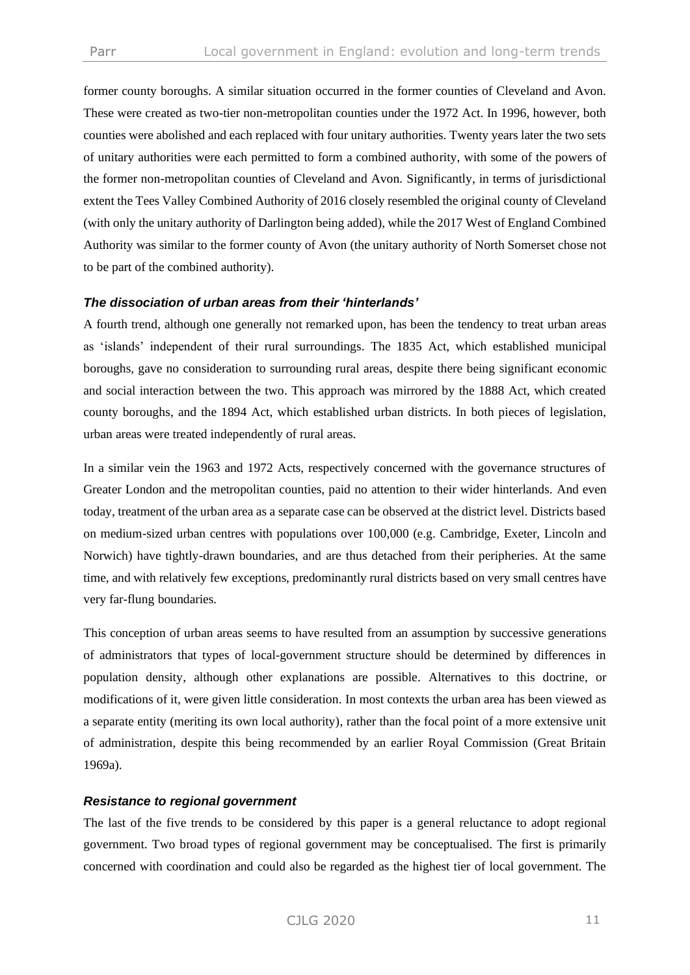former county boroughs. A similar situation occurred in the former counties of Cleveland and Avon. These were created as two-tier non-metropolitan counties under the 1972 Act. In 1996, however, both counties were abolished and each replaced with four unitary authorities. Twenty years later the two sets of unitary authorities were each permitted to form a combined authority, with some of the powers of the former non-metropolitan counties of Cleveland and Avon. Significantly, in terms of jurisdictional extent the Tees Valley Combined Authority of 2016 closely resembled the original county of Cleveland (with only the unitary authority of Darlington being added), while the 2017 West of England Combined Authority was similar to the former county of Avon (the unitary authority of North Somerset chose not to be part of the combined authority).

#### *The dissociation of urban areas from their 'hinterlands'*

A fourth trend, although one generally not remarked upon, has been the tendency to treat urban areas as 'islands' independent of their rural surroundings. The 1835 Act, which established municipal boroughs, gave no consideration to surrounding rural areas, despite there being significant economic and social interaction between the two. This approach was mirrored by the 1888 Act, which created county boroughs, and the 1894 Act, which established urban districts. In both pieces of legislation, urban areas were treated independently of rural areas.

In a similar vein the 1963 and 1972 Acts, respectively concerned with the governance structures of Greater London and the metropolitan counties, paid no attention to their wider hinterlands. And even today, treatment of the urban area as a separate case can be observed at the district level. Districts based on medium-sized urban centres with populations over 100,000 (e.g. Cambridge, Exeter, Lincoln and Norwich) have tightly-drawn boundaries, and are thus detached from their peripheries. At the same time, and with relatively few exceptions, predominantly rural districts based on very small centres have very far-flung boundaries.

This conception of urban areas seems to have resulted from an assumption by successive generations of administrators that types of local-government structure should be determined by differences in population density, although other explanations are possible. Alternatives to this doctrine, or modifications of it, were given little consideration. In most contexts the urban area has been viewed as a separate entity (meriting its own local authority), rather than the focal point of a more extensive unit of administration, despite this being recommended by an earlier Royal Commission (Great Britain 1969a).

#### *Resistance to regional government*

The last of the five trends to be considered by this paper is a general reluctance to adopt regional government. Two broad types of regional government may be conceptualised. The first is primarily concerned with coordination and could also be regarded as the highest tier of local government. The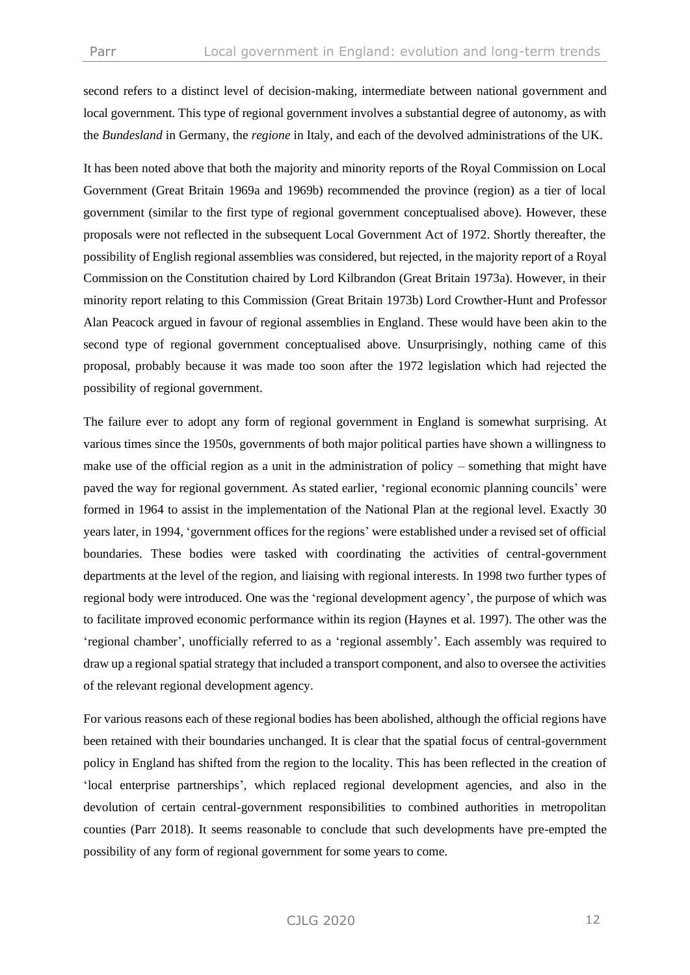second refers to a distinct level of decision-making, intermediate between national government and local government. This type of regional government involves a substantial degree of autonomy, as with the *Bundesland* in Germany, the *regione* in Italy, and each of the devolved administrations of the UK.

It has been noted above that both the majority and minority reports of the Royal Commission on Local Government (Great Britain 1969a and 1969b) recommended the province (region) as a tier of local government (similar to the first type of regional government conceptualised above). However, these proposals were not reflected in the subsequent Local Government Act of 1972. Shortly thereafter, the possibility of English regional assemblies was considered, but rejected, in the majority report of a Royal Commission on the Constitution chaired by Lord Kilbrandon (Great Britain 1973a). However, in their minority report relating to this Commission (Great Britain 1973b) Lord Crowther-Hunt and Professor Alan Peacock argued in favour of regional assemblies in England. These would have been akin to the second type of regional government conceptualised above. Unsurprisingly, nothing came of this proposal, probably because it was made too soon after the 1972 legislation which had rejected the possibility of regional government.

The failure ever to adopt any form of regional government in England is somewhat surprising. At various times since the 1950s, governments of both major political parties have shown a willingness to make use of the official region as a unit in the administration of policy – something that might have paved the way for regional government. As stated earlier, 'regional economic planning councils' were formed in 1964 to assist in the implementation of the National Plan at the regional level. Exactly 30 years later, in 1994, 'government offices for the regions' were established under a revised set of official boundaries. These bodies were tasked with coordinating the activities of central-government departments at the level of the region, and liaising with regional interests. In 1998 two further types of regional body were introduced. One was the 'regional development agency', the purpose of which was to facilitate improved economic performance within its region (Haynes et al. 1997). The other was the 'regional chamber', unofficially referred to as a 'regional assembly'. Each assembly was required to draw up a regional spatial strategy that included a transport component, and also to oversee the activities of the relevant regional development agency.

For various reasons each of these regional bodies has been abolished, although the official regions have been retained with their boundaries unchanged. It is clear that the spatial focus of central-government policy in England has shifted from the region to the locality. This has been reflected in the creation of 'local enterprise partnerships', which replaced regional development agencies, and also in the devolution of certain central-government responsibilities to combined authorities in metropolitan counties (Parr 2018). It seems reasonable to conclude that such developments have pre-empted the possibility of any form of regional government for some years to come.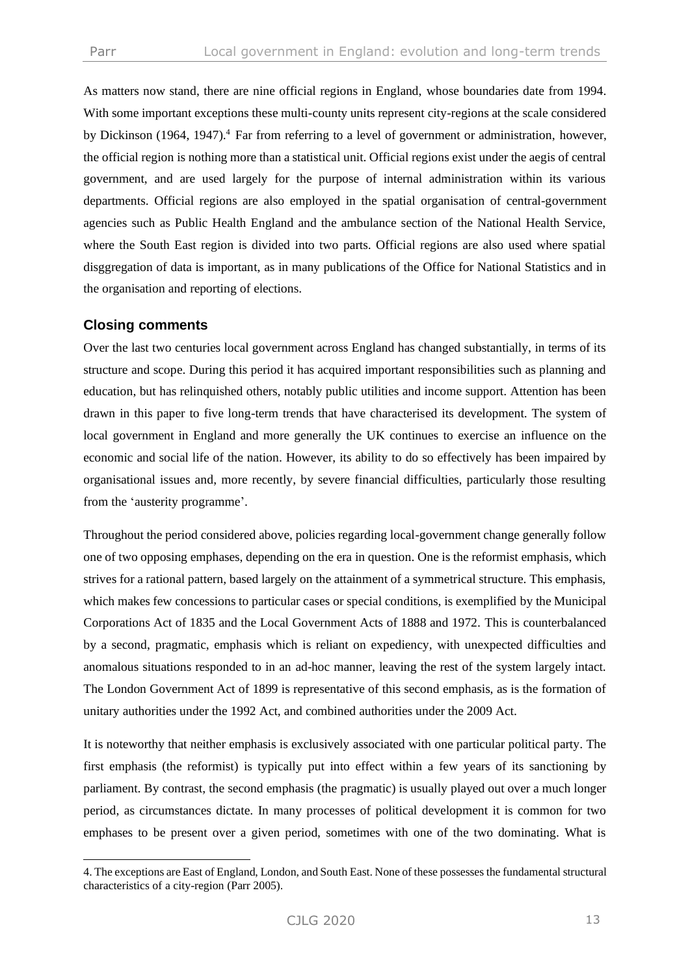As matters now stand, there are nine official regions in England, whose boundaries date from 1994. With some important exceptions these multi-county units represent city-regions at the scale considered by Dickinson (1964, 1947).<sup>4</sup> Far from referring to a level of government or administration, however, the official region is nothing more than a statistical unit. Official regions exist under the aegis of central government, and are used largely for the purpose of internal administration within its various departments. Official regions are also employed in the spatial organisation of central-government agencies such as Public Health England and the ambulance section of the National Health Service, where the South East region is divided into two parts. Official regions are also used where spatial disggregation of data is important, as in many publications of the Office for National Statistics and in the organisation and reporting of elections.

## **Closing comments**

Over the last two centuries local government across England has changed substantially, in terms of its structure and scope. During this period it has acquired important responsibilities such as planning and education, but has relinquished others, notably public utilities and income support. Attention has been drawn in this paper to five long-term trends that have characterised its development. The system of local government in England and more generally the UK continues to exercise an influence on the economic and social life of the nation. However, its ability to do so effectively has been impaired by organisational issues and, more recently, by severe financial difficulties, particularly those resulting from the 'austerity programme'.

Throughout the period considered above, policies regarding local-government change generally follow one of two opposing emphases, depending on the era in question. One is the reformist emphasis, which strives for a rational pattern, based largely on the attainment of a symmetrical structure. This emphasis, which makes few concessions to particular cases or special conditions, is exemplified by the Municipal Corporations Act of 1835 and the Local Government Acts of 1888 and 1972. This is counterbalanced by a second, pragmatic, emphasis which is reliant on expediency, with unexpected difficulties and anomalous situations responded to in an ad-hoc manner, leaving the rest of the system largely intact. The London Government Act of 1899 is representative of this second emphasis, as is the formation of unitary authorities under the 1992 Act, and combined authorities under the 2009 Act.

It is noteworthy that neither emphasis is exclusively associated with one particular political party. The first emphasis (the reformist) is typically put into effect within a few years of its sanctioning by parliament. By contrast, the second emphasis (the pragmatic) is usually played out over a much longer period, as circumstances dictate. In many processes of political development it is common for two emphases to be present over a given period, sometimes with one of the two dominating. What is

<sup>4.</sup> The exceptions are East of England, London, and South East. None of these possesses the fundamental structural characteristics of a city-region (Parr 2005).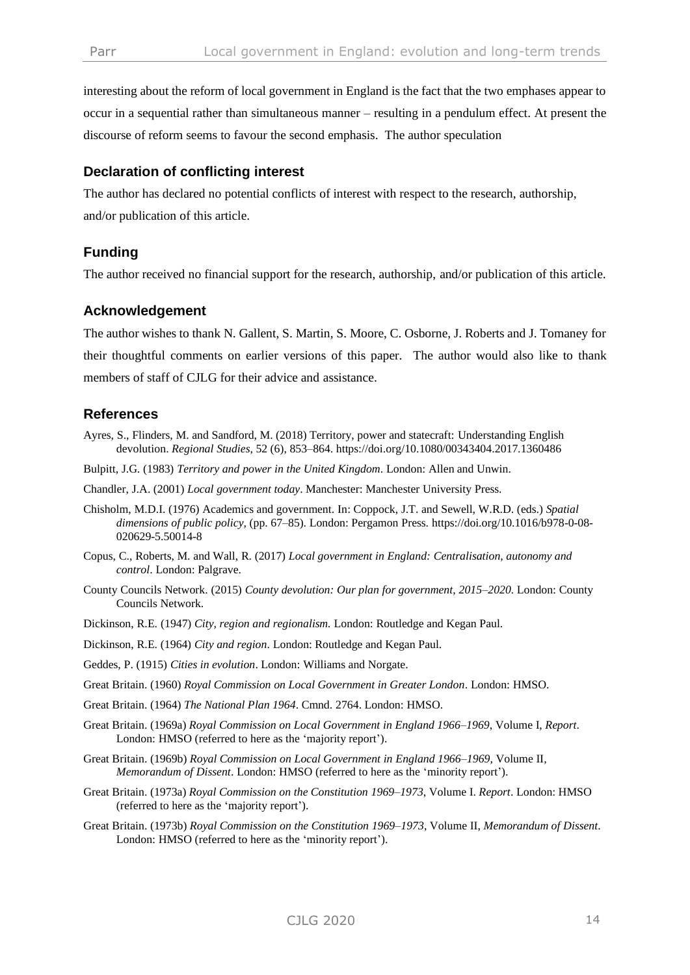interesting about the reform of local government in England is the fact that the two emphases appear to occur in a sequential rather than simultaneous manner – resulting in a pendulum effect. At present the discourse of reform seems to favour the second emphasis. The author speculation

## **Declaration of conflicting interest**

The author has declared no potential conflicts of interest with respect to the research, authorship, and/or publication of this article.

# **Funding**

The author received no financial support for the research, authorship, and/or publication of this article.

#### **Acknowledgement**

The author wishes to thank N. Gallent, S. Martin, S. Moore, C. Osborne, J. Roberts and J. Tomaney for their thoughtful comments on earlier versions of this paper. The author would also like to thank members of staff of CJLG for their advice and assistance.

## **References**

- Ayres, S., Flinders, M. and Sandford, M. (2018) Territory, power and statecraft: Understanding English devolution. *Regional Studies*, 52 (6), 853–864. https://doi.org/10.1080/00343404.2017.1360486
- Bulpitt, J.G. (1983) *Territory and power in the United Kingdom*. London: Allen and Unwin.
- Chandler, J.A. (2001) *Local government today*. Manchester: Manchester University Press.
- Chisholm, M.D.I. (1976) Academics and government. In: Coppock, J.T. and Sewell, W.R.D. (eds.) *Spatial dimensions of public policy,* (pp. 67–85). London: Pergamon Press. https://doi.org/10.1016/b978-0-08- 020629-5.50014-8
- Copus, C., Roberts, M. and Wall, R. (2017) *Local government in England: Centralisation, autonomy and control*. London: Palgrave.
- County Councils Network. (2015) *County devolution: Our plan for government, 2015–2020.* London: County Councils Network.
- Dickinson, R.E. (1947) *City, region and regionalism.* London: Routledge and Kegan Paul.
- Dickinson, R.E. (1964) *City and region*. London: Routledge and Kegan Paul.
- Geddes, P. (1915) *Cities in evolution*. London: Williams and Norgate.
- Great Britain. (1960) *Royal Commission on Local Government in Greater London*. London: HMSO.
- Great Britain. (1964) *The National Plan 1964*. Cmnd. 2764. London: HMSO.
- Great Britain. (1969a) *Royal Commission on Local Government in England 1966–1969*, Volume I, *Report*. London: HMSO (referred to here as the 'majority report').
- Great Britain. (1969b) *Royal Commission on Local Government in England 1966–1969,* Volume II*, Memorandum of Dissent*. London: HMSO (referred to here as the 'minority report').
- Great Britain. (1973a) *Royal Commission on the Constitution 1969–1973*, Volume I. *Report*. London: HMSO (referred to here as the 'majority report').
- Great Britain. (1973b) *Royal Commission on the Constitution 1969–1973*, Volume II, *Memorandum of Dissent*. London: HMSO (referred to here as the 'minority report').